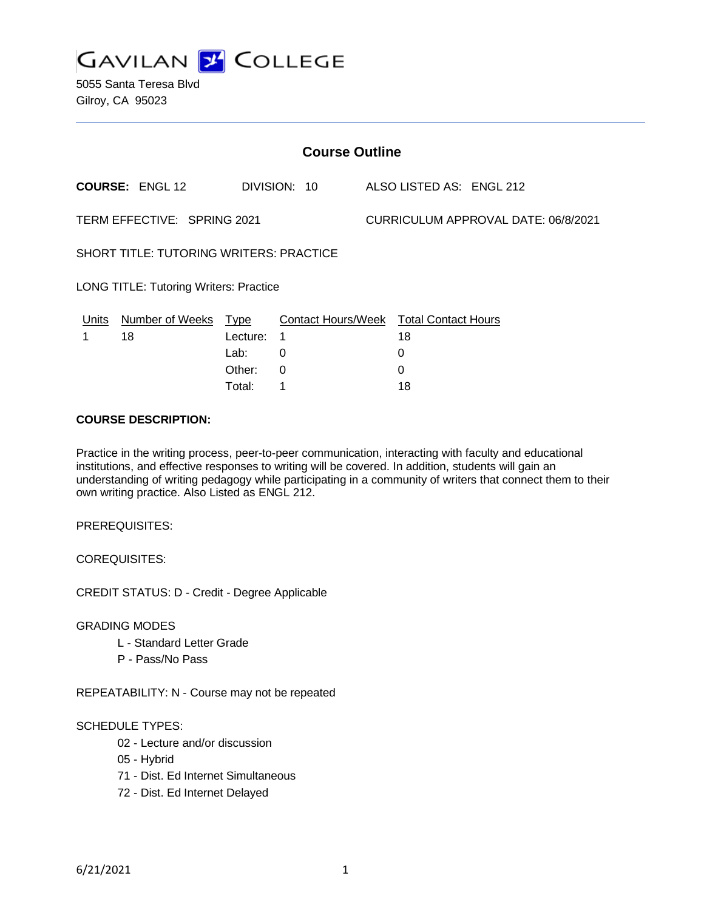**GAVILAN J COLLEGE** 

5055 Santa Teresa Blvd Gilroy, CA 95023

| <b>Course Outline</b>                                              |                        |              |          |                           |  |                            |  |
|--------------------------------------------------------------------|------------------------|--------------|----------|---------------------------|--|----------------------------|--|
|                                                                    | <b>COURSE: ENGL 12</b> | DIVISION: 10 |          |                           |  | ALSO LISTED AS: ENGL 212   |  |
| TERM EFFECTIVE: SPRING 2021<br>CURRICULUM APPROVAL DATE: 06/8/2021 |                        |              |          |                           |  |                            |  |
| <b>SHORT TITLE: TUTORING WRITERS: PRACTICE</b>                     |                        |              |          |                           |  |                            |  |
| <b>LONG TITLE: Tutoring Writers: Practice</b>                      |                        |              |          |                           |  |                            |  |
| Units                                                              | <b>Number of Weeks</b> | <u>Type</u>  |          | <b>Contact Hours/Week</b> |  | <b>Total Contact Hours</b> |  |
|                                                                    | 18                     | Lecture:     | 1        |                           |  | 18                         |  |
|                                                                    |                        | Lab:         | 0        |                           |  | 0                          |  |
|                                                                    |                        | Other:       | $\Omega$ |                           |  | 0                          |  |
|                                                                    |                        | Total:       | 1        |                           |  | 18                         |  |

#### **COURSE DESCRIPTION:**

Practice in the writing process, peer-to-peer communication, interacting with faculty and educational institutions, and effective responses to writing will be covered. In addition, students will gain an understanding of writing pedagogy while participating in a community of writers that connect them to their own writing practice. Also Listed as ENGL 212.

PREREQUISITES:

COREQUISITES:

CREDIT STATUS: D - Credit - Degree Applicable

GRADING MODES

- L Standard Letter Grade
- P Pass/No Pass

REPEATABILITY: N - Course may not be repeated

#### SCHEDULE TYPES:

- 02 Lecture and/or discussion
- 05 Hybrid
- 71 Dist. Ed Internet Simultaneous
- 72 Dist. Ed Internet Delayed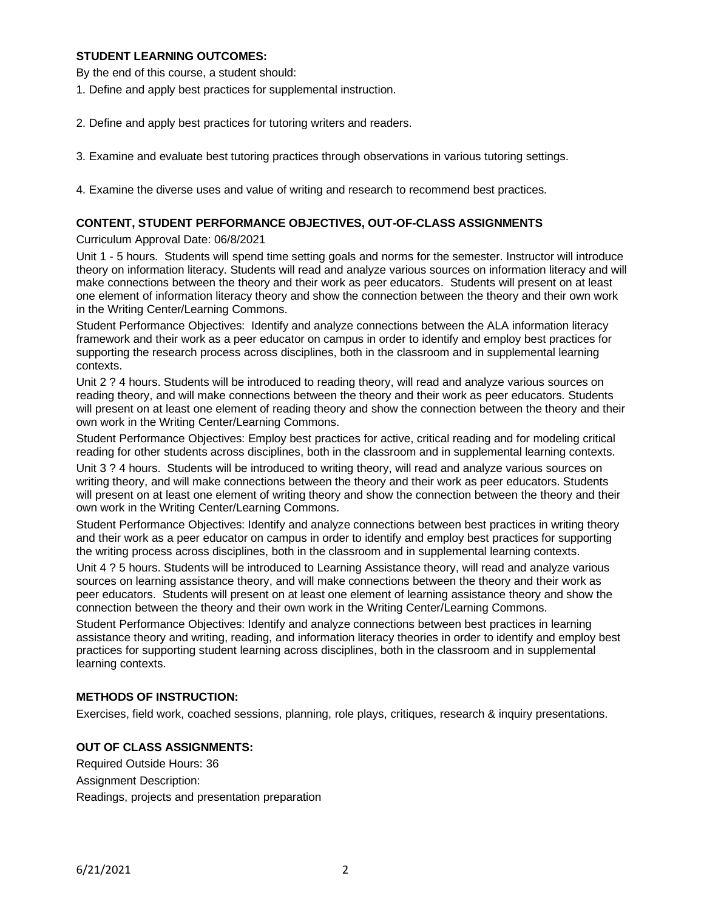#### **STUDENT LEARNING OUTCOMES:**

By the end of this course, a student should:

- 1. Define and apply best practices for supplemental instruction.
- 2. Define and apply best practices for tutoring writers and readers.
- 3. Examine and evaluate best tutoring practices through observations in various tutoring settings.
- 4. Examine the diverse uses and value of writing and research to recommend best practices.

#### **CONTENT, STUDENT PERFORMANCE OBJECTIVES, OUT-OF-CLASS ASSIGNMENTS**

#### Curriculum Approval Date: 06/8/2021

Unit 1 - 5 hours. Students will spend time setting goals and norms for the semester. Instructor will introduce theory on information literacy. Students will read and analyze various sources on information literacy and will make connections between the theory and their work as peer educators. Students will present on at least one element of information literacy theory and show the connection between the theory and their own work in the Writing Center/Learning Commons.

Student Performance Objectives: Identify and analyze connections between the ALA information literacy framework and their work as a peer educator on campus in order to identify and employ best practices for supporting the research process across disciplines, both in the classroom and in supplemental learning contexts.

Unit 2 ? 4 hours. Students will be introduced to reading theory, will read and analyze various sources on reading theory, and will make connections between the theory and their work as peer educators. Students will present on at least one element of reading theory and show the connection between the theory and their own work in the Writing Center/Learning Commons.

Student Performance Objectives: Employ best practices for active, critical reading and for modeling critical reading for other students across disciplines, both in the classroom and in supplemental learning contexts.

Unit 3 ? 4 hours. Students will be introduced to writing theory, will read and analyze various sources on writing theory, and will make connections between the theory and their work as peer educators. Students will present on at least one element of writing theory and show the connection between the theory and their own work in the Writing Center/Learning Commons.

Student Performance Objectives: Identify and analyze connections between best practices in writing theory and their work as a peer educator on campus in order to identify and employ best practices for supporting the writing process across disciplines, both in the classroom and in supplemental learning contexts.

Unit 4 ? 5 hours. Students will be introduced to Learning Assistance theory, will read and analyze various sources on learning assistance theory, and will make connections between the theory and their work as peer educators. Students will present on at least one element of learning assistance theory and show the connection between the theory and their own work in the Writing Center/Learning Commons.

Student Performance Objectives: Identify and analyze connections between best practices in learning assistance theory and writing, reading, and information literacy theories in order to identify and employ best practices for supporting student learning across disciplines, both in the classroom and in supplemental learning contexts.

### **METHODS OF INSTRUCTION:**

Exercises, field work, coached sessions, planning, role plays, critiques, research & inquiry presentations.

### **OUT OF CLASS ASSIGNMENTS:**

Required Outside Hours: 36 Assignment Description: Readings, projects and presentation preparation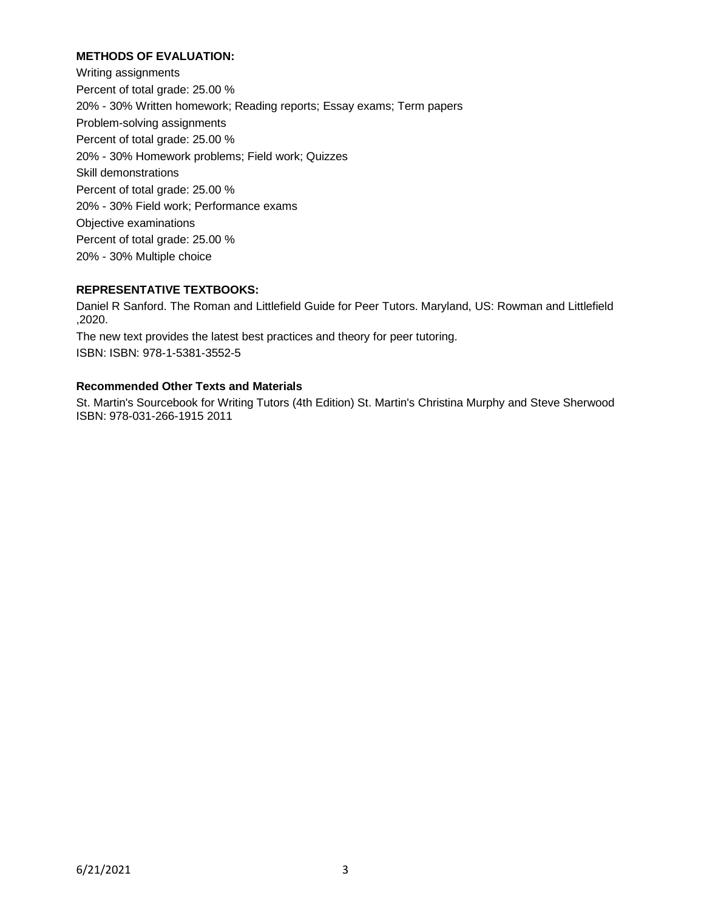# **METHODS OF EVALUATION:**

Writing assignments Percent of total grade: 25.00 % 20% - 30% Written homework; Reading reports; Essay exams; Term papers Problem-solving assignments Percent of total grade: 25.00 % 20% - 30% Homework problems; Field work; Quizzes Skill demonstrations Percent of total grade: 25.00 % 20% - 30% Field work; Performance exams Objective examinations Percent of total grade: 25.00 % 20% - 30% Multiple choice

### **REPRESENTATIVE TEXTBOOKS:**

Daniel R Sanford. The Roman and Littlefield Guide for Peer Tutors. Maryland, US: Rowman and Littlefield ,2020.

The new text provides the latest best practices and theory for peer tutoring. ISBN: ISBN: 978-1-5381-3552-5

## **Recommended Other Texts and Materials**

St. Martin's Sourcebook for Writing Tutors (4th Edition) St. Martin's Christina Murphy and Steve Sherwood ISBN: 978-031-266-1915 2011